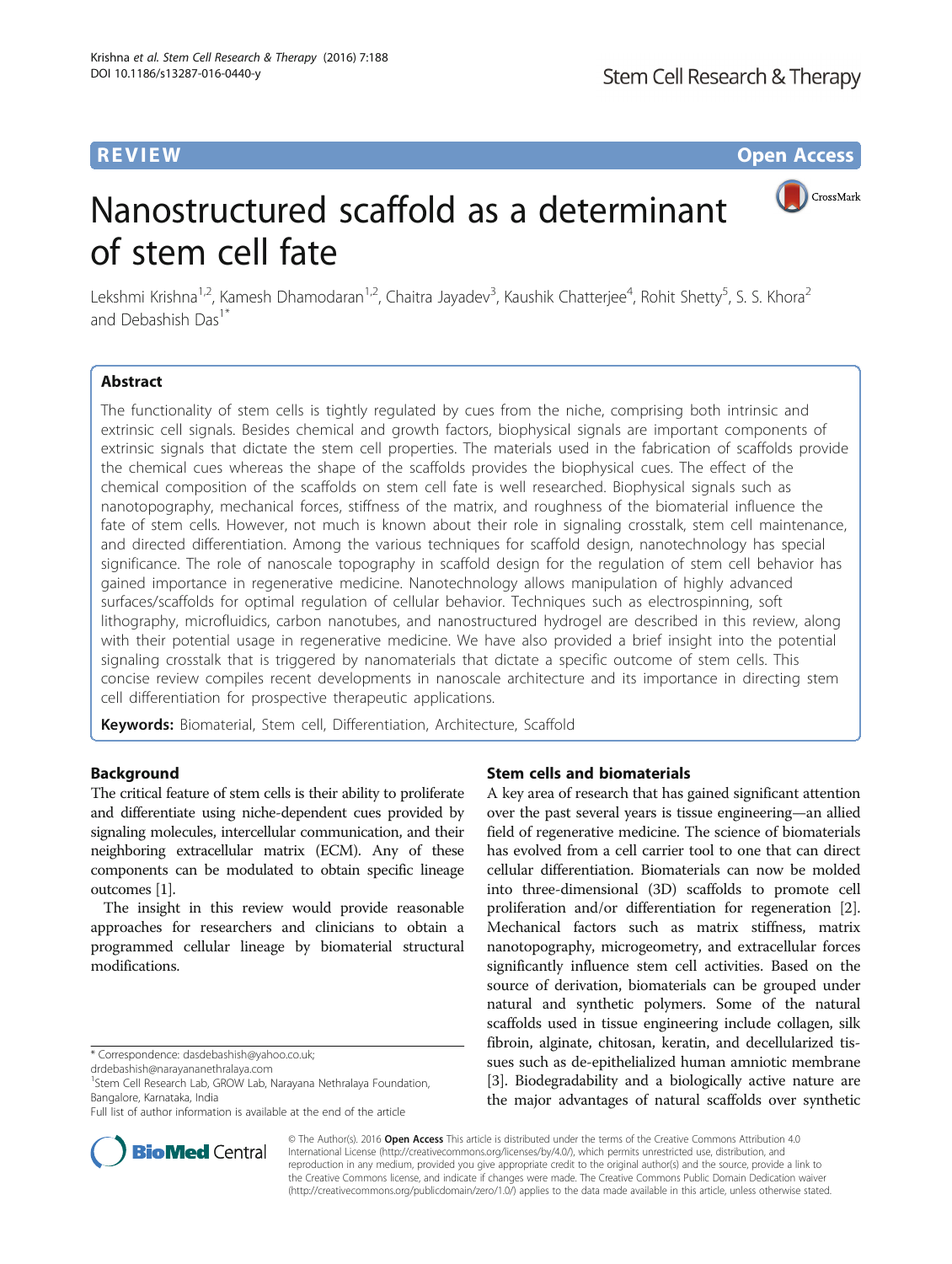**REVIEW CONSTRUCTION CONSTRUCTION CONSTRUCTS** 

CrossMark

# Nanostructured scaffold as a determinant of stem cell fate

Lekshmi Krishna<sup>1,2</sup>, Kamesh Dhamodaran<sup>1,2</sup>, Chaitra Jayadev<sup>3</sup>, Kaushik Chatterjee<sup>4</sup>, Rohit Shetty<sup>5</sup>, S. S. Khora<sup>2</sup> and Debashish Das<sup>1\*</sup>

# Abstract

The functionality of stem cells is tightly regulated by cues from the niche, comprising both intrinsic and extrinsic cell signals. Besides chemical and growth factors, biophysical signals are important components of extrinsic signals that dictate the stem cell properties. The materials used in the fabrication of scaffolds provide the chemical cues whereas the shape of the scaffolds provides the biophysical cues. The effect of the chemical composition of the scaffolds on stem cell fate is well researched. Biophysical signals such as nanotopography, mechanical forces, stiffness of the matrix, and roughness of the biomaterial influence the fate of stem cells. However, not much is known about their role in signaling crosstalk, stem cell maintenance, and directed differentiation. Among the various techniques for scaffold design, nanotechnology has special significance. The role of nanoscale topography in scaffold design for the regulation of stem cell behavior has gained importance in regenerative medicine. Nanotechnology allows manipulation of highly advanced surfaces/scaffolds for optimal regulation of cellular behavior. Techniques such as electrospinning, soft lithography, microfluidics, carbon nanotubes, and nanostructured hydrogel are described in this review, along with their potential usage in regenerative medicine. We have also provided a brief insight into the potential signaling crosstalk that is triggered by nanomaterials that dictate a specific outcome of stem cells. This concise review compiles recent developments in nanoscale architecture and its importance in directing stem cell differentiation for prospective therapeutic applications.

Keywords: Biomaterial, Stem cell, Differentiation, Architecture, Scaffold

# Background

The critical feature of stem cells is their ability to proliferate and differentiate using niche-dependent cues provided by signaling molecules, intercellular communication, and their neighboring extracellular matrix (ECM). Any of these components can be modulated to obtain specific lineage outcomes [\[1\]](#page-9-0).

The insight in this review would provide reasonable approaches for researchers and clinicians to obtain a programmed cellular lineage by biomaterial structural modifications.

[drdebashish@narayananethralaya.com](mailto:drdebashish@narayananethralaya.com)

<sup>1</sup>Stem Cell Research Lab, GROW Lab, Narayana Nethralaya Foundation, Bangalore, Karnataka, India

Full list of author information is available at the end of the article

# Stem cells and biomaterials

A key area of research that has gained significant attention over the past several years is tissue engineering—an allied field of regenerative medicine. The science of biomaterials has evolved from a cell carrier tool to one that can direct cellular differentiation. Biomaterials can now be molded into three-dimensional (3D) scaffolds to promote cell proliferation and/or differentiation for regeneration [[2](#page-9-0)]. Mechanical factors such as matrix stiffness, matrix nanotopography, microgeometry, and extracellular forces significantly influence stem cell activities. Based on the source of derivation, biomaterials can be grouped under natural and synthetic polymers. Some of the natural scaffolds used in tissue engineering include collagen, silk fibroin, alginate, chitosan, keratin, and decellularized tissues such as de-epithelialized human amniotic membrane [[3\]](#page-9-0). Biodegradability and a biologically active nature are the major advantages of natural scaffolds over synthetic



© The Author(s). 2016 Open Access This article is distributed under the terms of the Creative Commons Attribution 4.0 International License [\(http://creativecommons.org/licenses/by/4.0/](http://creativecommons.org/licenses/by/4.0/)), which permits unrestricted use, distribution, and reproduction in any medium, provided you give appropriate credit to the original author(s) and the source, provide a link to the Creative Commons license, and indicate if changes were made. The Creative Commons Public Domain Dedication waiver [\(http://creativecommons.org/publicdomain/zero/1.0/](http://creativecommons.org/publicdomain/zero/1.0/)) applies to the data made available in this article, unless otherwise stated.

<sup>\*</sup> Correspondence: [dasdebashish@yahoo.co.uk;](mailto:dasdebashish@yahoo.co.uk)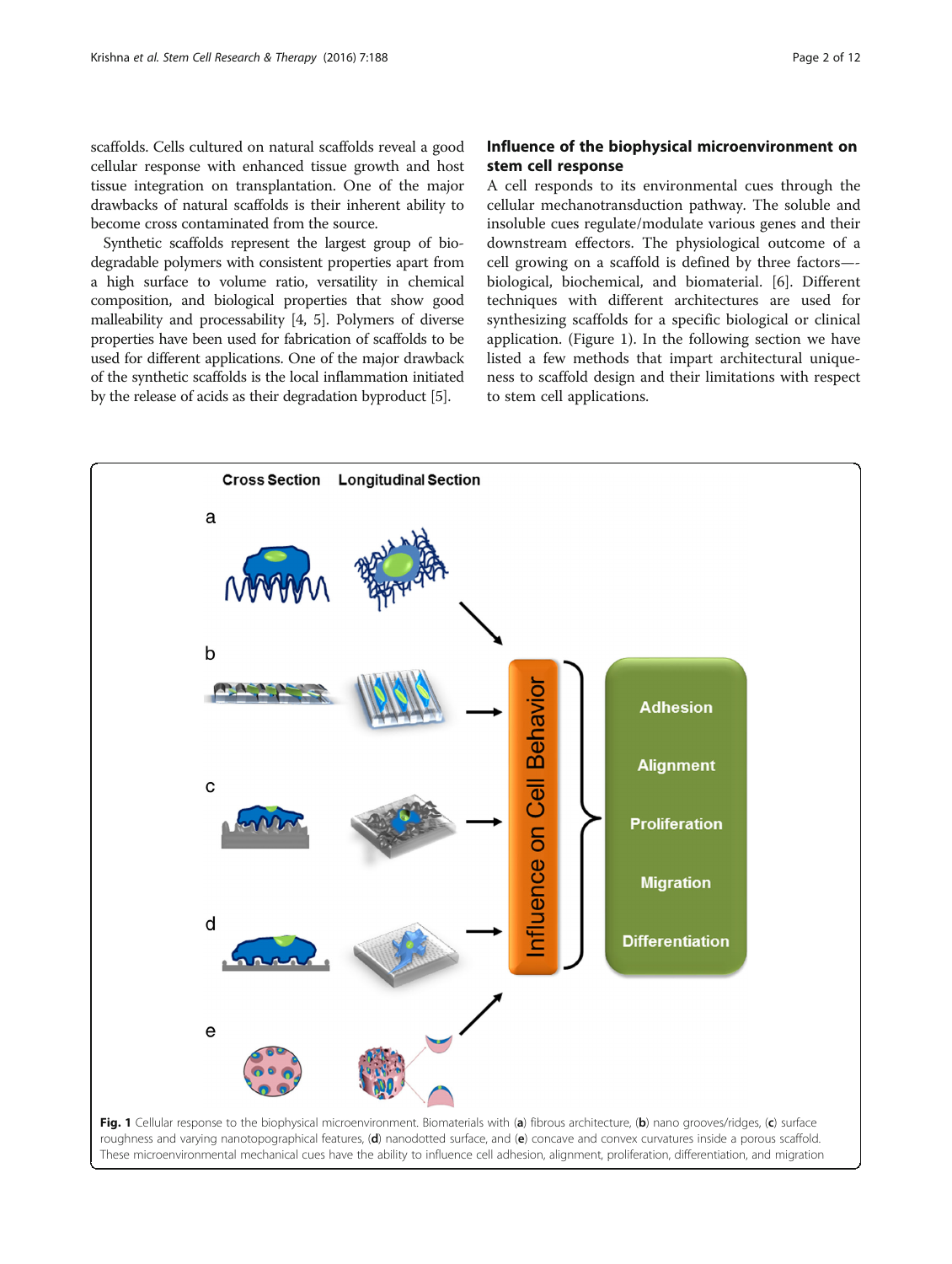scaffolds. Cells cultured on natural scaffolds reveal a good cellular response with enhanced tissue growth and host tissue integration on transplantation. One of the major drawbacks of natural scaffolds is their inherent ability to become cross contaminated from the source.

Synthetic scaffolds represent the largest group of biodegradable polymers with consistent properties apart from a high surface to volume ratio, versatility in chemical composition, and biological properties that show good malleability and processability [\[4, 5\]](#page-9-0). Polymers of diverse properties have been used for fabrication of scaffolds to be used for different applications. One of the major drawback of the synthetic scaffolds is the local inflammation initiated by the release of acids as their degradation byproduct [\[5](#page-9-0)].

# Influence of the biophysical microenvironment on stem cell response

A cell responds to its environmental cues through the cellular mechanotransduction pathway. The soluble and insoluble cues regulate/modulate various genes and their downstream effectors. The physiological outcome of a cell growing on a scaffold is defined by three factors— biological, biochemical, and biomaterial. [\[6](#page-9-0)]. Different techniques with different architectures are used for synthesizing scaffolds for a specific biological or clinical application. (Figure 1). In the following section we have listed a few methods that impart architectural uniqueness to scaffold design and their limitations with respect to stem cell applications.

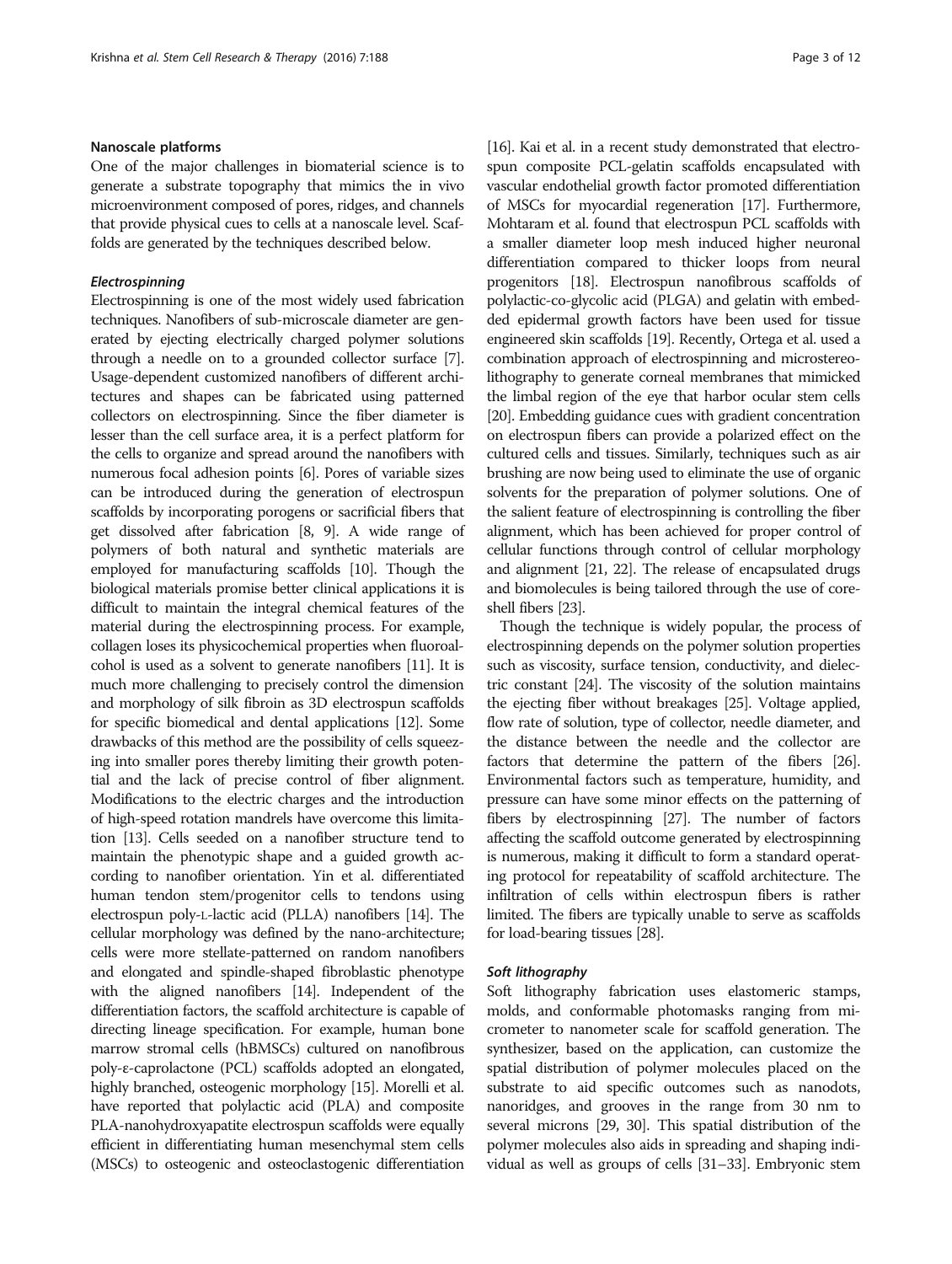# Nanoscale platforms

One of the major challenges in biomaterial science is to generate a substrate topography that mimics the in vivo microenvironment composed of pores, ridges, and channels that provide physical cues to cells at a nanoscale level. Scaffolds are generated by the techniques described below.

## Electrospinning

Electrospinning is one of the most widely used fabrication techniques. Nanofibers of sub-microscale diameter are generated by ejecting electrically charged polymer solutions through a needle on to a grounded collector surface [[7](#page-9-0)]. Usage-dependent customized nanofibers of different architectures and shapes can be fabricated using patterned collectors on electrospinning. Since the fiber diameter is lesser than the cell surface area, it is a perfect platform for the cells to organize and spread around the nanofibers with numerous focal adhesion points [\[6\]](#page-9-0). Pores of variable sizes can be introduced during the generation of electrospun scaffolds by incorporating porogens or sacrificial fibers that get dissolved after fabrication [[8, 9](#page-9-0)]. A wide range of polymers of both natural and synthetic materials are employed for manufacturing scaffolds [\[10\]](#page-9-0). Though the biological materials promise better clinical applications it is difficult to maintain the integral chemical features of the material during the electrospinning process. For example, collagen loses its physicochemical properties when fluoroalcohol is used as a solvent to generate nanofibers [\[11\]](#page-9-0). It is much more challenging to precisely control the dimension and morphology of silk fibroin as 3D electrospun scaffolds for specific biomedical and dental applications [\[12\]](#page-9-0). Some drawbacks of this method are the possibility of cells squeezing into smaller pores thereby limiting their growth potential and the lack of precise control of fiber alignment. Modifications to the electric charges and the introduction of high-speed rotation mandrels have overcome this limitation [\[13](#page-9-0)]. Cells seeded on a nanofiber structure tend to maintain the phenotypic shape and a guided growth according to nanofiber orientation. Yin et al. differentiated human tendon stem/progenitor cells to tendons using electrospun poly-L-lactic acid (PLLA) nanofibers [[14](#page-9-0)]. The cellular morphology was defined by the nano-architecture; cells were more stellate-patterned on random nanofibers and elongated and spindle-shaped fibroblastic phenotype with the aligned nanofibers [[14](#page-9-0)]. Independent of the differentiation factors, the scaffold architecture is capable of directing lineage specification. For example, human bone marrow stromal cells (hBMSCs) cultured on nanofibrous poly-ε-caprolactone (PCL) scaffolds adopted an elongated, highly branched, osteogenic morphology [[15\]](#page-9-0). Morelli et al. have reported that polylactic acid (PLA) and composite PLA-nanohydroxyapatite electrospun scaffolds were equally efficient in differentiating human mesenchymal stem cells (MSCs) to osteogenic and osteoclastogenic differentiation [[16](#page-9-0)]. Kai et al. in a recent study demonstrated that electrospun composite PCL-gelatin scaffolds encapsulated with vascular endothelial growth factor promoted differentiation of MSCs for myocardial regeneration [\[17\]](#page-9-0). Furthermore, Mohtaram et al. found that electrospun PCL scaffolds with a smaller diameter loop mesh induced higher neuronal differentiation compared to thicker loops from neural progenitors [\[18](#page-9-0)]. Electrospun nanofibrous scaffolds of polylactic-co-glycolic acid (PLGA) and gelatin with embedded epidermal growth factors have been used for tissue engineered skin scaffolds [[19](#page-9-0)]. Recently, Ortega et al. used a combination approach of electrospinning and microstereolithography to generate corneal membranes that mimicked the limbal region of the eye that harbor ocular stem cells [[20](#page-9-0)]. Embedding guidance cues with gradient concentration on electrospun fibers can provide a polarized effect on the cultured cells and tissues. Similarly, techniques such as air brushing are now being used to eliminate the use of organic solvents for the preparation of polymer solutions. One of the salient feature of electrospinning is controlling the fiber alignment, which has been achieved for proper control of cellular functions through control of cellular morphology and alignment [[21](#page-9-0), [22](#page-9-0)]. The release of encapsulated drugs and biomolecules is being tailored through the use of coreshell fibers [\[23](#page-9-0)].

Though the technique is widely popular, the process of electrospinning depends on the polymer solution properties such as viscosity, surface tension, conductivity, and dielectric constant [\[24\]](#page-9-0). The viscosity of the solution maintains the ejecting fiber without breakages [\[25\]](#page-9-0). Voltage applied, flow rate of solution, type of collector, needle diameter, and the distance between the needle and the collector are factors that determine the pattern of the fibers [\[26](#page-9-0)]. Environmental factors such as temperature, humidity, and pressure can have some minor effects on the patterning of fibers by electrospinning [[27](#page-9-0)]. The number of factors affecting the scaffold outcome generated by electrospinning is numerous, making it difficult to form a standard operating protocol for repeatability of scaffold architecture. The infiltration of cells within electrospun fibers is rather limited. The fibers are typically unable to serve as scaffolds for load-bearing tissues [\[28](#page-9-0)].

#### Soft lithography

Soft lithography fabrication uses elastomeric stamps, molds, and conformable photomasks ranging from micrometer to nanometer scale for scaffold generation. The synthesizer, based on the application, can customize the spatial distribution of polymer molecules placed on the substrate to aid specific outcomes such as nanodots, nanoridges, and grooves in the range from 30 nm to several microns [\[29](#page-9-0), [30\]](#page-9-0). This spatial distribution of the polymer molecules also aids in spreading and shaping individual as well as groups of cells [[31](#page-9-0)–[33](#page-10-0)]. Embryonic stem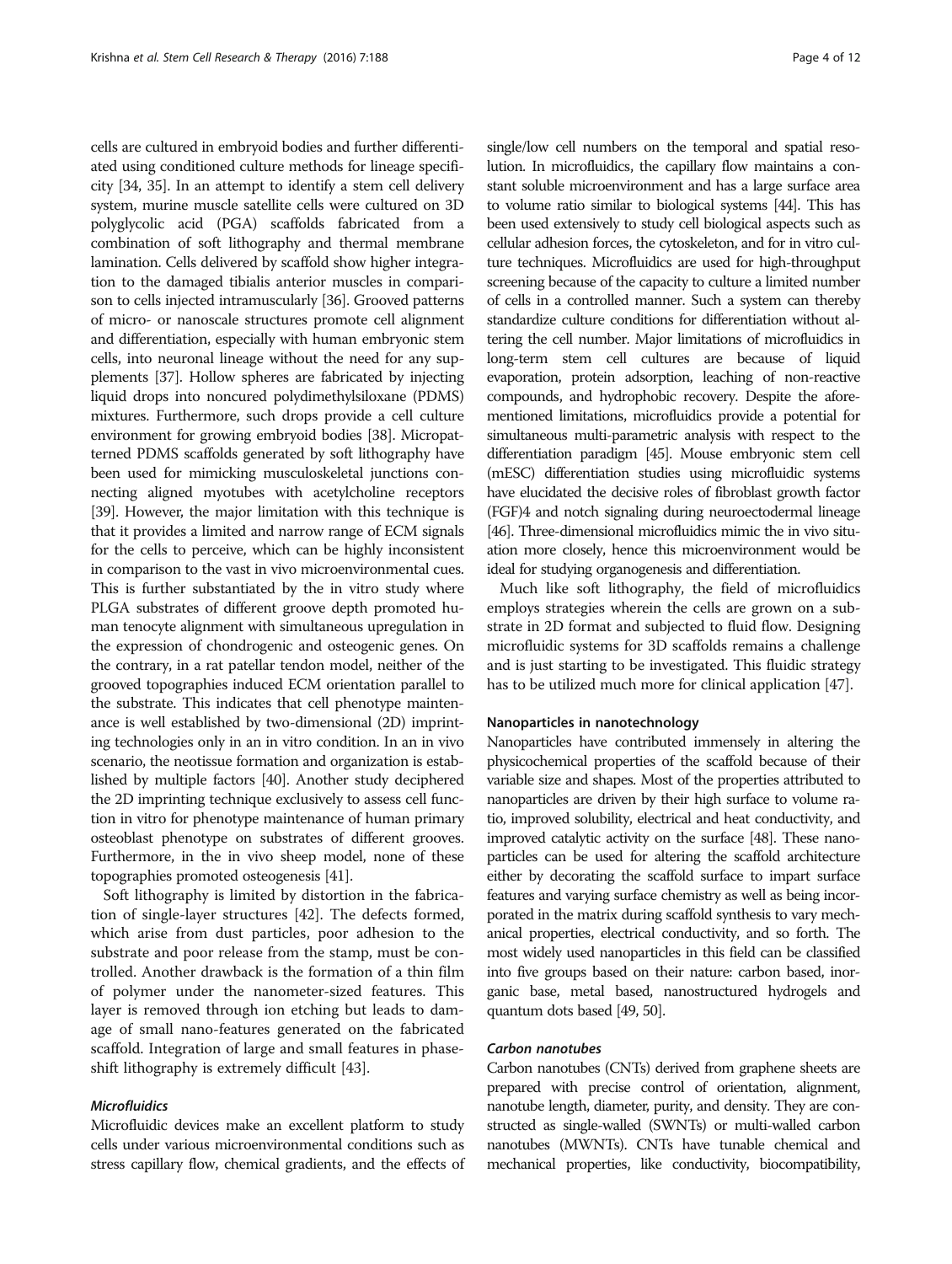cells are cultured in embryoid bodies and further differentiated using conditioned culture methods for lineage specificity [\[34, 35\]](#page-10-0). In an attempt to identify a stem cell delivery system, murine muscle satellite cells were cultured on 3D polyglycolic acid (PGA) scaffolds fabricated from a combination of soft lithography and thermal membrane lamination. Cells delivered by scaffold show higher integration to the damaged tibialis anterior muscles in comparison to cells injected intramuscularly [\[36\]](#page-10-0). Grooved patterns of micro- or nanoscale structures promote cell alignment and differentiation, especially with human embryonic stem cells, into neuronal lineage without the need for any supplements [[37](#page-10-0)]. Hollow spheres are fabricated by injecting liquid drops into noncured polydimethylsiloxane (PDMS) mixtures. Furthermore, such drops provide a cell culture environment for growing embryoid bodies [[38](#page-10-0)]. Micropatterned PDMS scaffolds generated by soft lithography have been used for mimicking musculoskeletal junctions connecting aligned myotubes with acetylcholine receptors [[39](#page-10-0)]. However, the major limitation with this technique is that it provides a limited and narrow range of ECM signals for the cells to perceive, which can be highly inconsistent in comparison to the vast in vivo microenvironmental cues. This is further substantiated by the in vitro study where PLGA substrates of different groove depth promoted human tenocyte alignment with simultaneous upregulation in the expression of chondrogenic and osteogenic genes. On the contrary, in a rat patellar tendon model, neither of the grooved topographies induced ECM orientation parallel to the substrate. This indicates that cell phenotype maintenance is well established by two-dimensional (2D) imprinting technologies only in an in vitro condition. In an in vivo scenario, the neotissue formation and organization is established by multiple factors [[40](#page-10-0)]. Another study deciphered the 2D imprinting technique exclusively to assess cell function in vitro for phenotype maintenance of human primary osteoblast phenotype on substrates of different grooves. Furthermore, in the in vivo sheep model, none of these topographies promoted osteogenesis [\[41\]](#page-10-0).

Soft lithography is limited by distortion in the fabrication of single-layer structures [\[42](#page-10-0)]. The defects formed, which arise from dust particles, poor adhesion to the substrate and poor release from the stamp, must be controlled. Another drawback is the formation of a thin film of polymer under the nanometer-sized features. This layer is removed through ion etching but leads to damage of small nano-features generated on the fabricated scaffold. Integration of large and small features in phaseshift lithography is extremely difficult [[43](#page-10-0)].

# Microfluidics

Microfluidic devices make an excellent platform to study cells under various microenvironmental conditions such as stress capillary flow, chemical gradients, and the effects of

single/low cell numbers on the temporal and spatial resolution. In microfluidics, the capillary flow maintains a constant soluble microenvironment and has a large surface area to volume ratio similar to biological systems [\[44](#page-10-0)]. This has been used extensively to study cell biological aspects such as cellular adhesion forces, the cytoskeleton, and for in vitro culture techniques. Microfluidics are used for high-throughput screening because of the capacity to culture a limited number of cells in a controlled manner. Such a system can thereby standardize culture conditions for differentiation without altering the cell number. Major limitations of microfluidics in long-term stem cell cultures are because of liquid evaporation, protein adsorption, leaching of non-reactive compounds, and hydrophobic recovery. Despite the aforementioned limitations, microfluidics provide a potential for simultaneous multi-parametric analysis with respect to the differentiation paradigm [[45\]](#page-10-0). Mouse embryonic stem cell (mESC) differentiation studies using microfluidic systems have elucidated the decisive roles of fibroblast growth factor (FGF)4 and notch signaling during neuroectodermal lineage [[46\]](#page-10-0). Three-dimensional microfluidics mimic the in vivo situation more closely, hence this microenvironment would be ideal for studying organogenesis and differentiation.

Much like soft lithography, the field of microfluidics employs strategies wherein the cells are grown on a substrate in 2D format and subjected to fluid flow. Designing microfluidic systems for 3D scaffolds remains a challenge and is just starting to be investigated. This fluidic strategy has to be utilized much more for clinical application [\[47\]](#page-10-0).

#### Nanoparticles in nanotechnology

Nanoparticles have contributed immensely in altering the physicochemical properties of the scaffold because of their variable size and shapes. Most of the properties attributed to nanoparticles are driven by their high surface to volume ratio, improved solubility, electrical and heat conductivity, and improved catalytic activity on the surface [\[48](#page-10-0)]. These nanoparticles can be used for altering the scaffold architecture either by decorating the scaffold surface to impart surface features and varying surface chemistry as well as being incorporated in the matrix during scaffold synthesis to vary mechanical properties, electrical conductivity, and so forth. The most widely used nanoparticles in this field can be classified into five groups based on their nature: carbon based, inorganic base, metal based, nanostructured hydrogels and quantum dots based [\[49, 50\]](#page-10-0).

#### Carbon nanotubes

Carbon nanotubes (CNTs) derived from graphene sheets are prepared with precise control of orientation, alignment, nanotube length, diameter, purity, and density. They are constructed as single-walled (SWNTs) or multi-walled carbon nanotubes (MWNTs). CNTs have tunable chemical and mechanical properties, like conductivity, biocompatibility,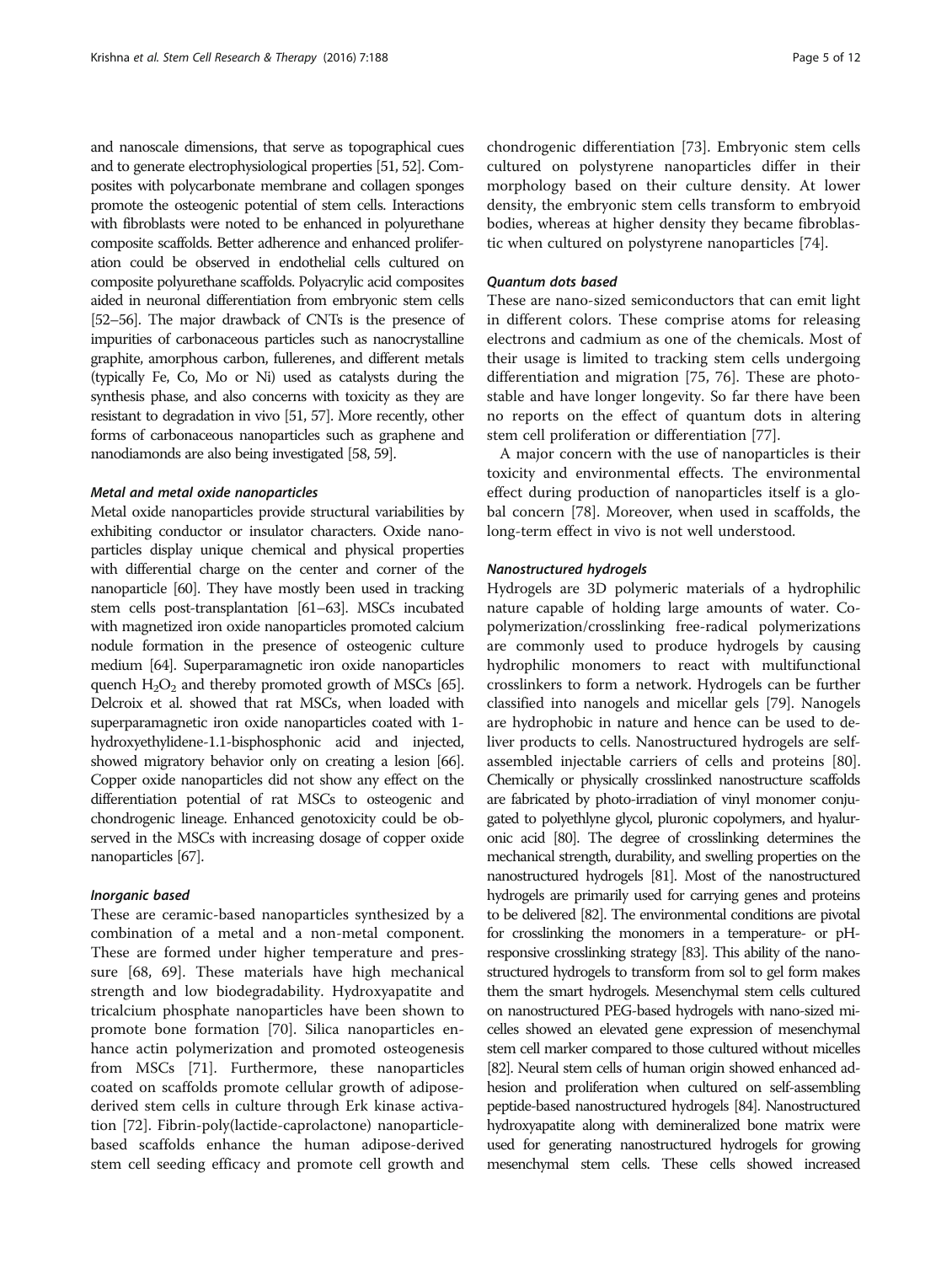and nanoscale dimensions, that serve as topographical cues and to generate electrophysiological properties [\[51](#page-10-0), [52\]](#page-10-0). Composites with polycarbonate membrane and collagen sponges promote the osteogenic potential of stem cells. Interactions with fibroblasts were noted to be enhanced in polyurethane composite scaffolds. Better adherence and enhanced proliferation could be observed in endothelial cells cultured on composite polyurethane scaffolds. Polyacrylic acid composites aided in neuronal differentiation from embryonic stem cells [[52](#page-10-0)–[56\]](#page-10-0). The major drawback of CNTs is the presence of impurities of carbonaceous particles such as nanocrystalline graphite, amorphous carbon, fullerenes, and different metals (typically Fe, Co, Mo or Ni) used as catalysts during the synthesis phase, and also concerns with toxicity as they are resistant to degradation in vivo [\[51, 57\]](#page-10-0). More recently, other forms of carbonaceous nanoparticles such as graphene and nanodiamonds are also being investigated [\[58](#page-10-0), [59](#page-10-0)].

#### Metal and metal oxide nanoparticles

Metal oxide nanoparticles provide structural variabilities by exhibiting conductor or insulator characters. Oxide nanoparticles display unique chemical and physical properties with differential charge on the center and corner of the nanoparticle [\[60\]](#page-10-0). They have mostly been used in tracking stem cells post-transplantation [\[61](#page-10-0)–[63](#page-10-0)]. MSCs incubated with magnetized iron oxide nanoparticles promoted calcium nodule formation in the presence of osteogenic culture medium [\[64\]](#page-10-0). Superparamagnetic iron oxide nanoparticles quench  $H_2O_2$  and thereby promoted growth of MSCs [\[65](#page-10-0)]. Delcroix et al. showed that rat MSCs, when loaded with superparamagnetic iron oxide nanoparticles coated with 1 hydroxyethylidene-1.1-bisphosphonic acid and injected, showed migratory behavior only on creating a lesion [\[66](#page-10-0)]. Copper oxide nanoparticles did not show any effect on the differentiation potential of rat MSCs to osteogenic and chondrogenic lineage. Enhanced genotoxicity could be observed in the MSCs with increasing dosage of copper oxide nanoparticles [\[67\]](#page-10-0).

#### Inorganic based

These are ceramic-based nanoparticles synthesized by a combination of a metal and a non-metal component. These are formed under higher temperature and pressure [\[68, 69\]](#page-10-0). These materials have high mechanical strength and low biodegradability. Hydroxyapatite and tricalcium phosphate nanoparticles have been shown to promote bone formation [[70](#page-10-0)]. Silica nanoparticles enhance actin polymerization and promoted osteogenesis from MSCs [[71\]](#page-10-0). Furthermore, these nanoparticles coated on scaffolds promote cellular growth of adiposederived stem cells in culture through Erk kinase activation [[72\]](#page-10-0). Fibrin-poly(lactide-caprolactone) nanoparticlebased scaffolds enhance the human adipose-derived stem cell seeding efficacy and promote cell growth and chondrogenic differentiation [[73](#page-10-0)]. Embryonic stem cells cultured on polystyrene nanoparticles differ in their morphology based on their culture density. At lower density, the embryonic stem cells transform to embryoid bodies, whereas at higher density they became fibroblastic when cultured on polystyrene nanoparticles [\[74](#page-10-0)].

## Quantum dots based

These are nano-sized semiconductors that can emit light in different colors. These comprise atoms for releasing electrons and cadmium as one of the chemicals. Most of their usage is limited to tracking stem cells undergoing differentiation and migration [[75, 76\]](#page-10-0). These are photostable and have longer longevity. So far there have been no reports on the effect of quantum dots in altering stem cell proliferation or differentiation [\[77](#page-10-0)].

A major concern with the use of nanoparticles is their toxicity and environmental effects. The environmental effect during production of nanoparticles itself is a global concern [\[78](#page-10-0)]. Moreover, when used in scaffolds, the long-term effect in vivo is not well understood.

#### Nanostructured hydrogels

Hydrogels are 3D polymeric materials of a hydrophilic nature capable of holding large amounts of water. Copolymerization/crosslinking free-radical polymerizations are commonly used to produce hydrogels by causing hydrophilic monomers to react with multifunctional crosslinkers to form a network. Hydrogels can be further classified into nanogels and micellar gels [\[79\]](#page-10-0). Nanogels are hydrophobic in nature and hence can be used to deliver products to cells. Nanostructured hydrogels are selfassembled injectable carriers of cells and proteins [[80](#page-10-0)]. Chemically or physically crosslinked nanostructure scaffolds are fabricated by photo-irradiation of vinyl monomer conjugated to polyethlyne glycol, pluronic copolymers, and hyaluronic acid [\[80](#page-10-0)]. The degree of crosslinking determines the mechanical strength, durability, and swelling properties on the nanostructured hydrogels [\[81\]](#page-10-0). Most of the nanostructured hydrogels are primarily used for carrying genes and proteins to be delivered [\[82\]](#page-10-0). The environmental conditions are pivotal for crosslinking the monomers in a temperature- or pHresponsive crosslinking strategy [\[83](#page-10-0)]. This ability of the nanostructured hydrogels to transform from sol to gel form makes them the smart hydrogels. Mesenchymal stem cells cultured on nanostructured PEG-based hydrogels with nano-sized micelles showed an elevated gene expression of mesenchymal stem cell marker compared to those cultured without micelles [[82\]](#page-10-0). Neural stem cells of human origin showed enhanced adhesion and proliferation when cultured on self-assembling peptide-based nanostructured hydrogels [\[84](#page-11-0)]. Nanostructured hydroxyapatite along with demineralized bone matrix were used for generating nanostructured hydrogels for growing mesenchymal stem cells. These cells showed increased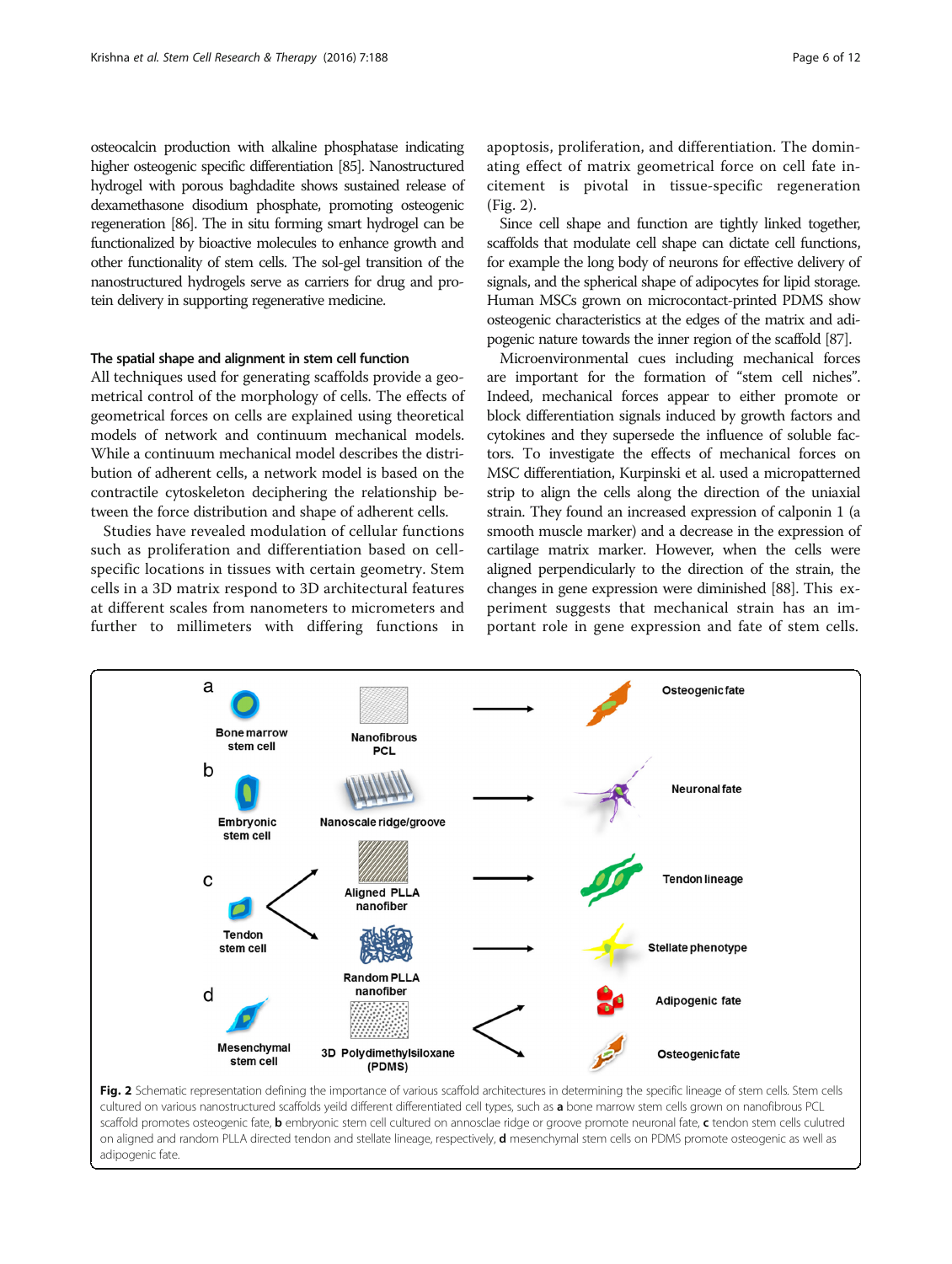osteocalcin production with alkaline phosphatase indicating higher osteogenic specific differentiation [\[85](#page-11-0)]. Nanostructured hydrogel with porous baghdadite shows sustained release of dexamethasone disodium phosphate, promoting osteogenic regeneration [[86\]](#page-11-0). The in situ forming smart hydrogel can be functionalized by bioactive molecules to enhance growth and other functionality of stem cells. The sol-gel transition of the nanostructured hydrogels serve as carriers for drug and protein delivery in supporting regenerative medicine.

# The spatial shape and alignment in stem cell function

All techniques used for generating scaffolds provide a geometrical control of the morphology of cells. The effects of geometrical forces on cells are explained using theoretical models of network and continuum mechanical models. While a continuum mechanical model describes the distribution of adherent cells, a network model is based on the contractile cytoskeleton deciphering the relationship between the force distribution and shape of adherent cells.

Studies have revealed modulation of cellular functions such as proliferation and differentiation based on cellspecific locations in tissues with certain geometry. Stem cells in a 3D matrix respond to 3D architectural features at different scales from nanometers to micrometers and further to millimeters with differing functions in apoptosis, proliferation, and differentiation. The dominating effect of matrix geometrical force on cell fate incitement is pivotal in tissue-specific regeneration (Fig. 2).

Since cell shape and function are tightly linked together, scaffolds that modulate cell shape can dictate cell functions, for example the long body of neurons for effective delivery of signals, and the spherical shape of adipocytes for lipid storage. Human MSCs grown on microcontact-printed PDMS show osteogenic characteristics at the edges of the matrix and adipogenic nature towards the inner region of the scaffold [\[87](#page-11-0)].

Microenvironmental cues including mechanical forces are important for the formation of "stem cell niches". Indeed, mechanical forces appear to either promote or block differentiation signals induced by growth factors and cytokines and they supersede the influence of soluble factors. To investigate the effects of mechanical forces on MSC differentiation, Kurpinski et al. used a micropatterned strip to align the cells along the direction of the uniaxial strain. They found an increased expression of calponin 1 (a smooth muscle marker) and a decrease in the expression of cartilage matrix marker. However, when the cells were aligned perpendicularly to the direction of the strain, the changes in gene expression were diminished [[88\]](#page-11-0). This experiment suggests that mechanical strain has an important role in gene expression and fate of stem cells.



cultured on various nanostructured scaffolds yeild different differentiated cell types, such as a bone marrow stem cells grown on nanofibrous PCL scaffold promotes osteogenic fate, b embryonic stem cell cultured on annosclae ridge or groove promote neuronal fate, c tendon stem cells culutred on aligned and random PLLA directed tendon and stellate lineage, respectively, d mesenchymal stem cells on PDMS promote osteogenic as well as adipogenic fate.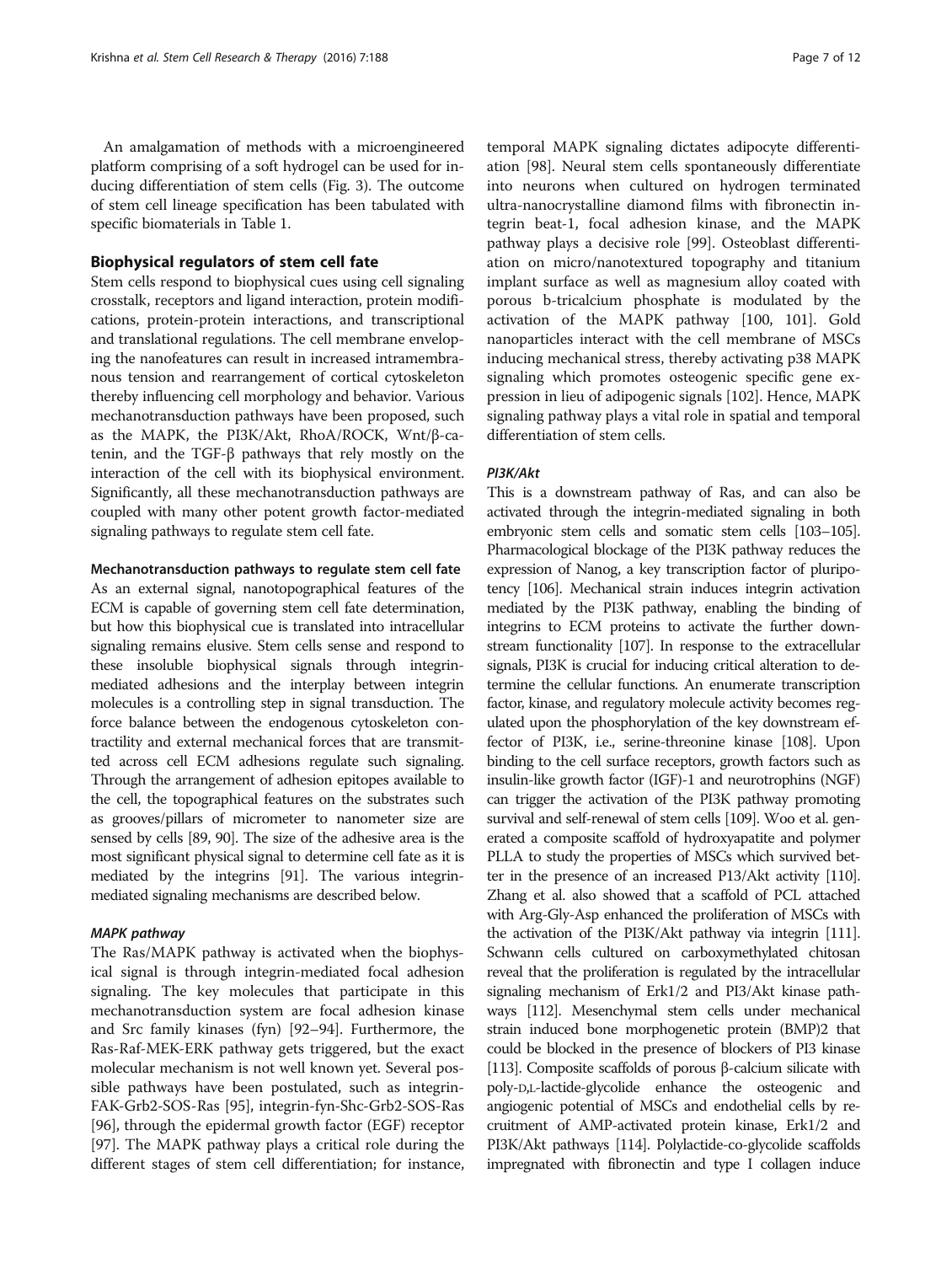An amalgamation of methods with a microengineered platform comprising of a soft hydrogel can be used for inducing differentiation of stem cells (Fig. [3](#page-7-0)). The outcome of stem cell lineage specification has been tabulated with specific biomaterials in Table [1.](#page-8-0)

# Biophysical regulators of stem cell fate

Stem cells respond to biophysical cues using cell signaling crosstalk, receptors and ligand interaction, protein modifications, protein-protein interactions, and transcriptional and translational regulations. The cell membrane enveloping the nanofeatures can result in increased intramembranous tension and rearrangement of cortical cytoskeleton thereby influencing cell morphology and behavior. Various mechanotransduction pathways have been proposed, such as the MAPK, the PI3K/Akt, RhoA/ROCK, Wnt/β-catenin, and the TGF-β pathways that rely mostly on the interaction of the cell with its biophysical environment. Significantly, all these mechanotransduction pathways are coupled with many other potent growth factor-mediated signaling pathways to regulate stem cell fate.

#### Mechanotransduction pathways to regulate stem cell fate

As an external signal, nanotopographical features of the ECM is capable of governing stem cell fate determination, but how this biophysical cue is translated into intracellular signaling remains elusive. Stem cells sense and respond to these insoluble biophysical signals through integrinmediated adhesions and the interplay between integrin molecules is a controlling step in signal transduction. The force balance between the endogenous cytoskeleton contractility and external mechanical forces that are transmitted across cell ECM adhesions regulate such signaling. Through the arrangement of adhesion epitopes available to the cell, the topographical features on the substrates such as grooves/pillars of micrometer to nanometer size are sensed by cells [\[89, 90](#page-11-0)]. The size of the adhesive area is the most significant physical signal to determine cell fate as it is mediated by the integrins [\[91\]](#page-11-0). The various integrinmediated signaling mechanisms are described below.

## MAPK pathway

The Ras/MAPK pathway is activated when the biophysical signal is through integrin-mediated focal adhesion signaling. The key molecules that participate in this mechanotransduction system are focal adhesion kinase and Src family kinases (fyn) [\[92](#page-11-0)–[94](#page-11-0)]. Furthermore, the Ras-Raf-MEK-ERK pathway gets triggered, but the exact molecular mechanism is not well known yet. Several possible pathways have been postulated, such as integrin-FAK-Grb2-SOS-Ras [[95\]](#page-11-0), integrin-fyn-Shc-Grb2-SOS-Ras [[96\]](#page-11-0), through the epidermal growth factor (EGF) receptor [[97\]](#page-11-0). The MAPK pathway plays a critical role during the different stages of stem cell differentiation; for instance,

temporal MAPK signaling dictates adipocyte differentiation [\[98](#page-11-0)]. Neural stem cells spontaneously differentiate into neurons when cultured on hydrogen terminated ultra-nanocrystalline diamond films with fibronectin integrin beat-1, focal adhesion kinase, and the MAPK pathway plays a decisive role [[99](#page-11-0)]. Osteoblast differentiation on micro/nanotextured topography and titanium implant surface as well as magnesium alloy coated with porous b-tricalcium phosphate is modulated by the activation of the MAPK pathway [\[100, 101\]](#page-11-0). Gold nanoparticles interact with the cell membrane of MSCs inducing mechanical stress, thereby activating p38 MAPK signaling which promotes osteogenic specific gene expression in lieu of adipogenic signals [\[102](#page-11-0)]. Hence, MAPK signaling pathway plays a vital role in spatial and temporal differentiation of stem cells.

# PI3K/Akt

This is a downstream pathway of Ras, and can also be activated through the integrin-mediated signaling in both embryonic stem cells and somatic stem cells [\[103](#page-11-0)–[105](#page-11-0)]. Pharmacological blockage of the PI3K pathway reduces the expression of Nanog, a key transcription factor of pluripotency [\[106\]](#page-11-0). Mechanical strain induces integrin activation mediated by the PI3K pathway, enabling the binding of integrins to ECM proteins to activate the further downstream functionality [\[107](#page-11-0)]. In response to the extracellular signals, PI3K is crucial for inducing critical alteration to determine the cellular functions. An enumerate transcription factor, kinase, and regulatory molecule activity becomes regulated upon the phosphorylation of the key downstream effector of PI3K, i.e., serine-threonine kinase [\[108\]](#page-11-0). Upon binding to the cell surface receptors, growth factors such as insulin-like growth factor (IGF)-1 and neurotrophins (NGF) can trigger the activation of the PI3K pathway promoting survival and self-renewal of stem cells [\[109](#page-11-0)]. Woo et al. generated a composite scaffold of hydroxyapatite and polymer PLLA to study the properties of MSCs which survived better in the presence of an increased P13/Akt activity [[110](#page-11-0)]. Zhang et al. also showed that a scaffold of PCL attached with Arg-Gly-Asp enhanced the proliferation of MSCs with the activation of the PI3K/Akt pathway via integrin [[111\]](#page-11-0). Schwann cells cultured on carboxymethylated chitosan reveal that the proliferation is regulated by the intracellular signaling mechanism of Erk1/2 and PI3/Akt kinase pathways [[112](#page-11-0)]. Mesenchymal stem cells under mechanical strain induced bone morphogenetic protein (BMP)2 that could be blocked in the presence of blockers of PI3 kinase [[113\]](#page-11-0). Composite scaffolds of porous β-calcium silicate with poly-D,L-lactide-glycolide enhance the osteogenic and angiogenic potential of MSCs and endothelial cells by recruitment of AMP-activated protein kinase, Erk1/2 and PI3K/Akt pathways [\[114\]](#page-11-0). Polylactide-co-glycolide scaffolds impregnated with fibronectin and type I collagen induce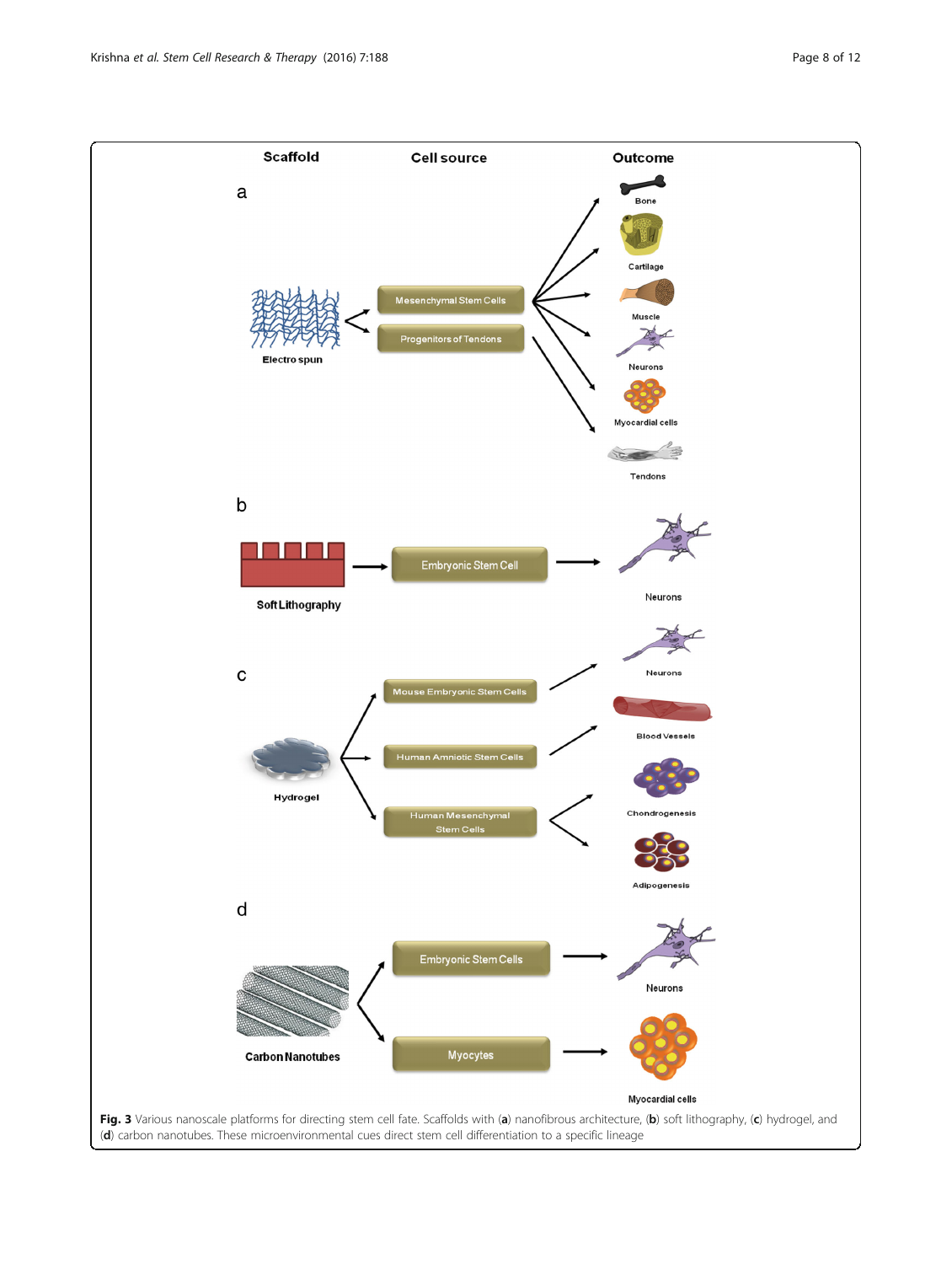<span id="page-7-0"></span>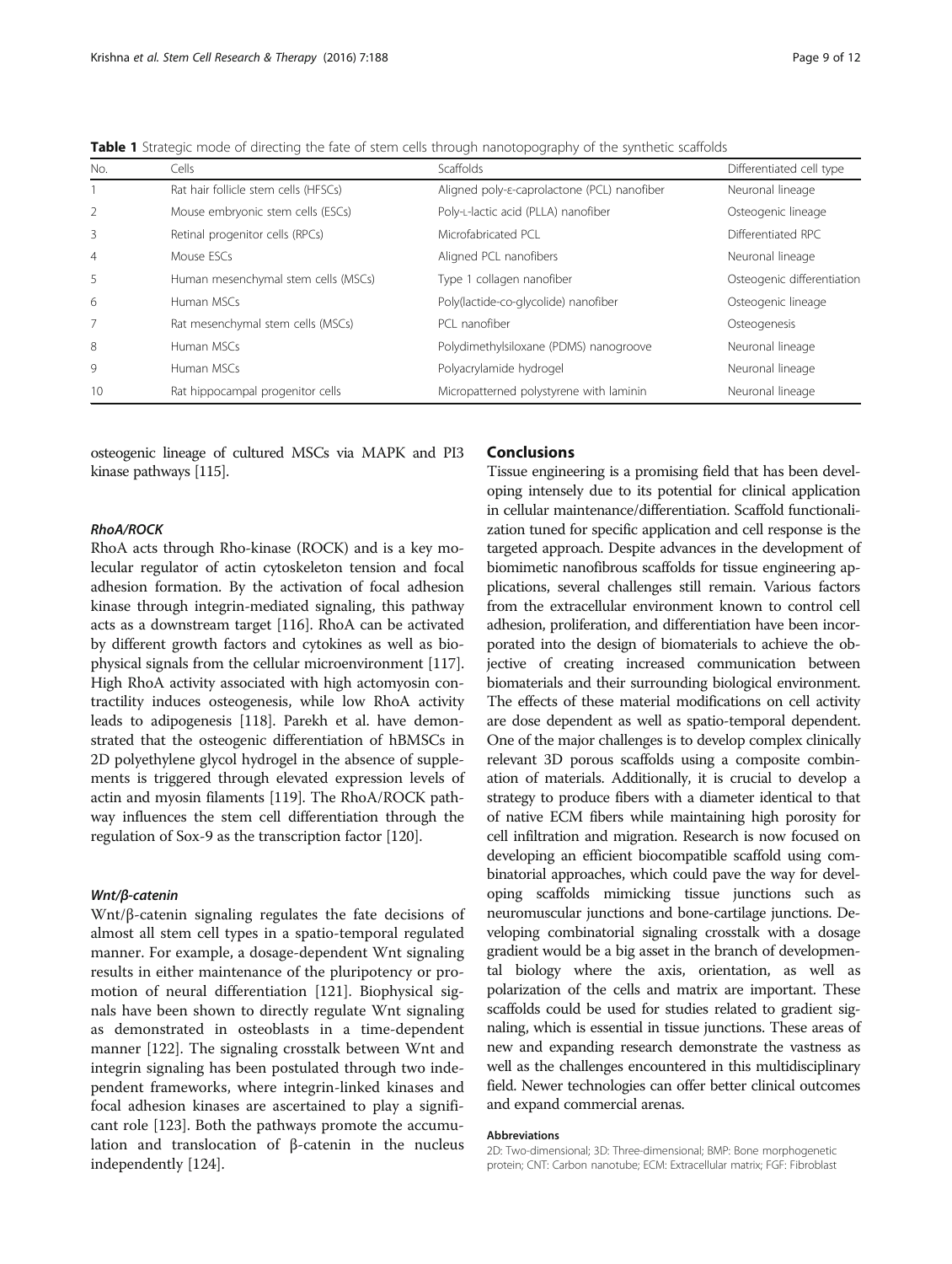<span id="page-8-0"></span>Table 1 Strategic mode of directing the fate of stem cells through nanotopography of the synthetic scaffolds

| No.            | Cells                                | <b>Scaffolds</b>                                    | Differentiated cell type   |
|----------------|--------------------------------------|-----------------------------------------------------|----------------------------|
|                | Rat hair follicle stem cells (HFSCs) | Aligned poly- <i>ε-caprolactone</i> (PCL) nanofiber | Neuronal lineage           |
| $\overline{2}$ | Mouse embryonic stem cells (ESCs)    | Poly-L-lactic acid (PLLA) nanofiber                 | Osteogenic lineage         |
| 3              | Retinal progenitor cells (RPCs)      | Microfabricated PCL                                 | Differentiated RPC         |
| $\overline{4}$ | Mouse ESCs                           | Aligned PCL nanofibers                              | Neuronal lineage           |
| 5              | Human mesenchymal stem cells (MSCs)  | Type 1 collagen nanofiber                           | Osteogenic differentiation |
| 6              | Human MSCs                           | Poly(lactide-co-glycolide) nanofiber                | Osteogenic lineage         |
|                | Rat mesenchymal stem cells (MSCs)    | PCL nanofiber                                       | Osteogenesis               |
| 8              | Human MSCs                           | Polydimethylsiloxane (PDMS) nanogroove              | Neuronal lineage           |
| 9              | Human MSCs                           | Polyacrylamide hydrogel                             | Neuronal lineage           |
| 10             | Rat hippocampal progenitor cells     | Micropatterned polystyrene with laminin             | Neuronal lineage           |

osteogenic lineage of cultured MSCs via MAPK and PI3 kinase pathways [\[115\]](#page-11-0).

# RhoA/ROCK

RhoA acts through Rho-kinase (ROCK) and is a key molecular regulator of actin cytoskeleton tension and focal adhesion formation. By the activation of focal adhesion kinase through integrin-mediated signaling, this pathway acts as a downstream target [\[116\]](#page-11-0). RhoA can be activated by different growth factors and cytokines as well as biophysical signals from the cellular microenvironment [[117](#page-11-0)]. High RhoA activity associated with high actomyosin contractility induces osteogenesis, while low RhoA activity leads to adipogenesis [[118](#page-11-0)]. Parekh et al. have demonstrated that the osteogenic differentiation of hBMSCs in 2D polyethylene glycol hydrogel in the absence of supplements is triggered through elevated expression levels of actin and myosin filaments [[119](#page-11-0)]. The RhoA/ROCK pathway influences the stem cell differentiation through the regulation of Sox-9 as the transcription factor [[120](#page-11-0)].

# Wnt/β-catenin

Wnt/β-catenin signaling regulates the fate decisions of almost all stem cell types in a spatio-temporal regulated manner. For example, a dosage-dependent Wnt signaling results in either maintenance of the pluripotency or promotion of neural differentiation [\[121\]](#page-11-0). Biophysical signals have been shown to directly regulate Wnt signaling as demonstrated in osteoblasts in a time-dependent manner [[122](#page-11-0)]. The signaling crosstalk between Wnt and integrin signaling has been postulated through two independent frameworks, where integrin-linked kinases and focal adhesion kinases are ascertained to play a significant role [\[123\]](#page-11-0). Both the pathways promote the accumulation and translocation of β-catenin in the nucleus independently [[124](#page-11-0)].

# Conclusions

Tissue engineering is a promising field that has been developing intensely due to its potential for clinical application in cellular maintenance/differentiation. Scaffold functionalization tuned for specific application and cell response is the targeted approach. Despite advances in the development of biomimetic nanofibrous scaffolds for tissue engineering applications, several challenges still remain. Various factors from the extracellular environment known to control cell adhesion, proliferation, and differentiation have been incorporated into the design of biomaterials to achieve the objective of creating increased communication between biomaterials and their surrounding biological environment. The effects of these material modifications on cell activity are dose dependent as well as spatio-temporal dependent. One of the major challenges is to develop complex clinically relevant 3D porous scaffolds using a composite combination of materials. Additionally, it is crucial to develop a strategy to produce fibers with a diameter identical to that of native ECM fibers while maintaining high porosity for cell infiltration and migration. Research is now focused on developing an efficient biocompatible scaffold using combinatorial approaches, which could pave the way for developing scaffolds mimicking tissue junctions such as neuromuscular junctions and bone-cartilage junctions. Developing combinatorial signaling crosstalk with a dosage gradient would be a big asset in the branch of developmental biology where the axis, orientation, as well as polarization of the cells and matrix are important. These scaffolds could be used for studies related to gradient signaling, which is essential in tissue junctions. These areas of new and expanding research demonstrate the vastness as well as the challenges encountered in this multidisciplinary field. Newer technologies can offer better clinical outcomes and expand commercial arenas.

#### Abbreviations

2D: Two-dimensional; 3D: Three-dimensional; BMP: Bone morphogenetic protein; CNT: Carbon nanotube; ECM: Extracellular matrix; FGF: Fibroblast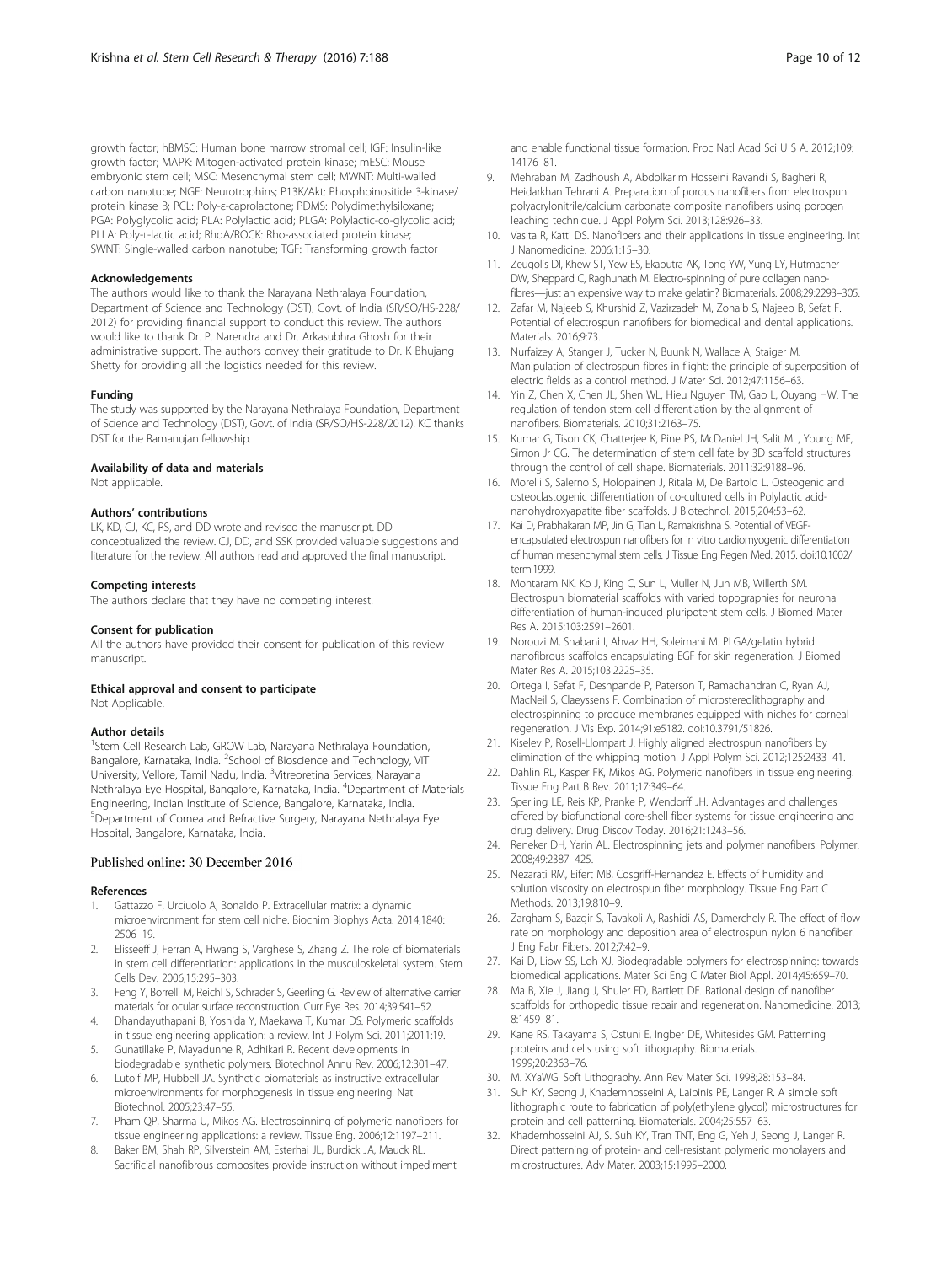<span id="page-9-0"></span>growth factor; hBMSC: Human bone marrow stromal cell; IGF: Insulin-like growth factor; MAPK: Mitogen-activated protein kinase; mESC: Mouse embryonic stem cell; MSC: Mesenchymal stem cell; MWNT: Multi-walled carbon nanotube; NGF: Neurotrophins; P13K/Akt: Phosphoinositide 3-kinase/ protein kinase B; PCL: Poly-ε-caprolactone; PDMS: Polydimethylsiloxane; PGA: Polyglycolic acid; PLA: Polylactic acid; PLGA: Polylactic-co-glycolic acid; PLLA: Poly-L-lactic acid; RhoA/ROCK: Rho-associated protein kinase; SWNT: Single-walled carbon nanotube; TGF: Transforming growth factor

#### Acknowledgements

The authors would like to thank the Narayana Nethralaya Foundation, Department of Science and Technology (DST), Govt. of India (SR/SO/HS-228/ 2012) for providing financial support to conduct this review. The authors would like to thank Dr. P. Narendra and Dr. Arkasubhra Ghosh for their administrative support. The authors convey their gratitude to Dr. K Bhujang Shetty for providing all the logistics needed for this review.

#### Funding

The study was supported by the Narayana Nethralaya Foundation, Department of Science and Technology (DST), Govt. of India (SR/SO/HS-228/2012). KC thanks DST for the Ramanujan fellowship.

#### Availability of data and materials

Not applicable.

# Authors' contributions

LK, KD, CJ, KC, RS, and DD wrote and revised the manuscript. DD conceptualized the review. CJ, DD, and SSK provided valuable suggestions and literature for the review. All authors read and approved the final manuscript.

#### Competing interests

The authors declare that they have no competing interest.

#### Consent for publication

All the authors have provided their consent for publication of this review manuscript.

#### Ethical approval and consent to participate Not Applicable.

#### Author details

<sup>1</sup>Stem Cell Research Lab, GROW Lab, Narayana Nethralaya Foundation, Bangalore, Karnataka, India. <sup>2</sup>School of Bioscience and Technology, VIT University, Vellore, Tamil Nadu, India. <sup>3</sup>Vitreoretina Services, Narayana Nethralaya Eye Hospital, Bangalore, Karnataka, India. <sup>4</sup>Department of Materials Engineering, Indian Institute of Science, Bangalore, Karnataka, India. 5 Department of Cornea and Refractive Surgery, Narayana Nethralaya Eye Hospital, Bangalore, Karnataka, India.

#### Published online: 30 December 2016

#### **References**

- 1. Gattazzo F, Urciuolo A, Bonaldo P. Extracellular matrix: a dynamic microenvironment for stem cell niche. Biochim Biophys Acta. 2014;1840: 2506–19.
- 2. Elisseeff J, Ferran A, Hwang S, Varghese S, Zhang Z. The role of biomaterials in stem cell differentiation: applications in the musculoskeletal system. Stem Cells Dev. 2006;15:295–303.
- 3. Feng Y, Borrelli M, Reichl S, Schrader S, Geerling G. Review of alternative carrier materials for ocular surface reconstruction. Curr Eye Res. 2014;39:541–52.
- 4. Dhandayuthapani B, Yoshida Y, Maekawa T, Kumar DS. Polymeric scaffolds in tissue engineering application: a review. Int J Polym Sci. 2011;2011:19.
- 5. Gunatillake P, Mayadunne R, Adhikari R. Recent developments in biodegradable synthetic polymers. Biotechnol Annu Rev. 2006;12:301–47.
- 6. Lutolf MP, Hubbell JA. Synthetic biomaterials as instructive extracellular microenvironments for morphogenesis in tissue engineering. Nat Biotechnol. 2005;23:47–55.
- 7. Pham QP, Sharma U, Mikos AG. Electrospinning of polymeric nanofibers for tissue engineering applications: a review. Tissue Eng. 2006;12:1197–211.
- 8. Baker BM, Shah RP, Silverstein AM, Esterhai JL, Burdick JA, Mauck RL. Sacrificial nanofibrous composites provide instruction without impediment

and enable functional tissue formation. Proc Natl Acad Sci U S A. 2012;109: 14176–81.

- 9. Mehraban M, Zadhoush A, Abdolkarim Hosseini Ravandi S, Bagheri R, Heidarkhan Tehrani A. Preparation of porous nanofibers from electrospun polyacrylonitrile/calcium carbonate composite nanofibers using porogen leaching technique. J Appl Polym Sci. 2013;128:926–33.
- 10. Vasita R, Katti DS. Nanofibers and their applications in tissue engineering. Int J Nanomedicine. 2006;1:15–30.
- 11. Zeugolis DI, Khew ST, Yew ES, Ekaputra AK, Tong YW, Yung LY, Hutmacher DW, Sheppard C, Raghunath M. Electro-spinning of pure collagen nanofibres—just an expensive way to make gelatin? Biomaterials. 2008;29:2293–305.
- 12. Zafar M, Najeeb S, Khurshid Z, Vazirzadeh M, Zohaib S, Najeeb B, Sefat F. Potential of electrospun nanofibers for biomedical and dental applications. Materials. 2016;9:73.
- 13. Nurfaizey A, Stanger J, Tucker N, Buunk N, Wallace A, Staiger M. Manipulation of electrospun fibres in flight: the principle of superposition of electric fields as a control method. J Mater Sci. 2012;47:1156–63.
- 14. Yin Z, Chen X, Chen JL, Shen WL, Hieu Nguyen TM, Gao L, Ouyang HW. The regulation of tendon stem cell differentiation by the alignment of nanofibers. Biomaterials. 2010;31:2163–75.
- 15. Kumar G, Tison CK, Chatterjee K, Pine PS, McDaniel JH, Salit ML, Young MF, Simon Jr CG. The determination of stem cell fate by 3D scaffold structures through the control of cell shape. Biomaterials. 2011;32:9188–96.
- 16. Morelli S, Salerno S, Holopainen J, Ritala M, De Bartolo L. Osteogenic and osteoclastogenic differentiation of co-cultured cells in Polylactic acidnanohydroxyapatite fiber scaffolds. J Biotechnol. 2015;204:53–62.
- 17. Kai D, Prabhakaran MP, Jin G, Tian L, Ramakrishna S. Potential of VEGFencapsulated electrospun nanofibers for in vitro cardiomyogenic differentiation of human mesenchymal stem cells. J Tissue Eng Regen Med. 2015. doi[:10.1002/](http://dx.doi.org/10.1002/term.1999) [term.1999](http://dx.doi.org/10.1002/term.1999).
- 18. Mohtaram NK, Ko J, King C, Sun L, Muller N, Jun MB, Willerth SM. Electrospun biomaterial scaffolds with varied topographies for neuronal differentiation of human-induced pluripotent stem cells. J Biomed Mater Res A. 2015;103:2591–2601.
- 19. Norouzi M, Shabani I, Ahvaz HH, Soleimani M. PLGA/gelatin hybrid nanofibrous scaffolds encapsulating EGF for skin regeneration. J Biomed Mater Res A. 2015;103:2225–35.
- 20. Ortega I, Sefat F, Deshpande P, Paterson T, Ramachandran C, Ryan AJ, MacNeil S, Claeyssens F. Combination of microstereolithography and electrospinning to produce membranes equipped with niches for corneal regeneration. J Vis Exp. 2014;91:e5182. doi:[10.3791/51826](http://dx.doi.org/10.3791/51826).
- 21. Kiselev P, Rosell-Llompart J. Highly aligned electrospun nanofibers by elimination of the whipping motion. J Appl Polym Sci. 2012;125:2433–41.
- 22. Dahlin RL, Kasper FK, Mikos AG. Polymeric nanofibers in tissue engineering. Tissue Eng Part B Rev. 2011;17:349–64.
- 23. Sperling LE, Reis KP, Pranke P, Wendorff JH. Advantages and challenges offered by biofunctional core-shell fiber systems for tissue engineering and drug delivery. Drug Discov Today. 2016;21:1243–56.
- 24. Reneker DH, Yarin AL. Electrospinning jets and polymer nanofibers. Polymer. 2008;49:2387–425.
- 25. Nezarati RM, Eifert MB, Cosgriff-Hernandez E. Effects of humidity and solution viscosity on electrospun fiber morphology. Tissue Eng Part C Methods. 2013;19:810–9.
- 26. Zargham S, Bazgir S, Tavakoli A, Rashidi AS, Damerchely R. The effect of flow rate on morphology and deposition area of electrospun nylon 6 nanofiber. J Eng Fabr Fibers. 2012;7:42–9.
- 27. Kai D, Liow SS, Loh XJ. Biodegradable polymers for electrospinning: towards biomedical applications. Mater Sci Eng C Mater Biol Appl. 2014;45:659–70.
- 28. Ma B, Xie J, Jiang J, Shuler FD, Bartlett DE. Rational design of nanofiber scaffolds for orthopedic tissue repair and regeneration. Nanomedicine. 2013; 8:1459–81.
- 29. Kane RS, Takayama S, Ostuni E, Ingber DE, Whitesides GM. Patterning proteins and cells using soft lithography. Biomaterials. 1999;20:2363–76.
- 30. M. XYaWG. Soft Lithography. Ann Rev Mater Sci. 1998;28:153–84.
- 31. Suh KY, Seong J, Khademhosseini A, Laibinis PE, Langer R. A simple soft lithographic route to fabrication of poly(ethylene glycol) microstructures for protein and cell patterning. Biomaterials. 2004;25:557–63.
- 32. Khademhosseini AJ, S. Suh KY, Tran TNT, Eng G, Yeh J, Seong J, Langer R. Direct patterning of protein- and cell-resistant polymeric monolayers and microstructures. Adv Mater. 2003;15:1995–2000.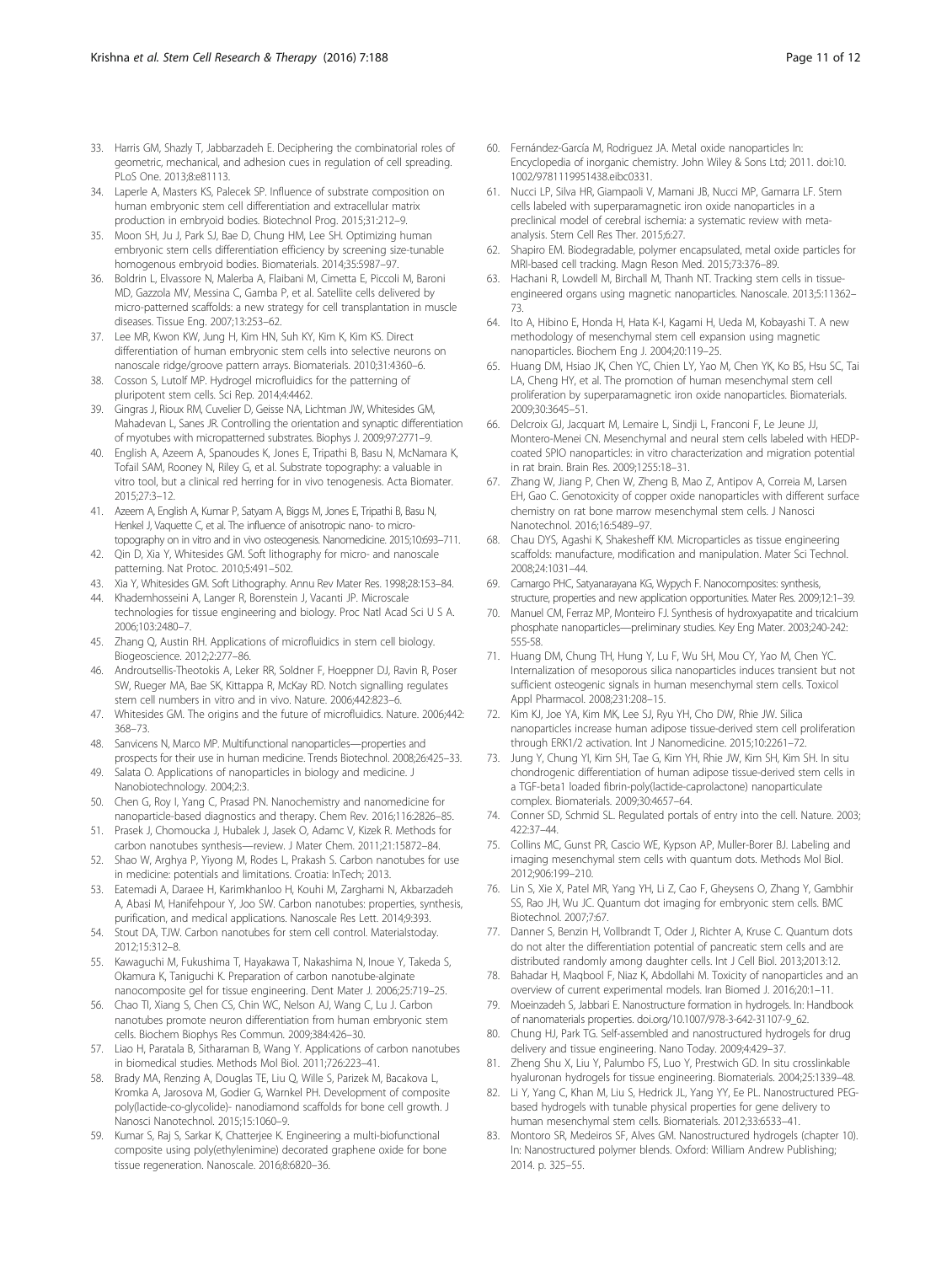- <span id="page-10-0"></span>33. Harris GM, Shazly T, Jabbarzadeh E. Deciphering the combinatorial roles of geometric, mechanical, and adhesion cues in regulation of cell spreading. PLoS One. 2013;8:e81113.
- 34. Laperle A, Masters KS, Palecek SP. Influence of substrate composition on human embryonic stem cell differentiation and extracellular matrix production in embryoid bodies. Biotechnol Prog. 2015;31:212–9.
- 35. Moon SH, Ju J, Park SJ, Bae D, Chung HM, Lee SH. Optimizing human embryonic stem cells differentiation efficiency by screening size-tunable homogenous embryoid bodies. Biomaterials. 2014;35:5987–97.
- 36. Boldrin L, Elvassore N, Malerba A, Flaibani M, Cimetta E, Piccoli M, Baroni MD, Gazzola MV, Messina C, Gamba P, et al. Satellite cells delivered by micro-patterned scaffolds: a new strategy for cell transplantation in muscle diseases. Tissue Eng. 2007;13:253–62.
- 37. Lee MR, Kwon KW, Jung H, Kim HN, Suh KY, Kim K, Kim KS. Direct differentiation of human embryonic stem cells into selective neurons on nanoscale ridge/groove pattern arrays. Biomaterials. 2010;31:4360–6.
- 38. Cosson S, Lutolf MP. Hydrogel microfluidics for the patterning of pluripotent stem cells. Sci Rep. 2014;4:4462.
- 39. Gingras J, Rioux RM, Cuvelier D, Geisse NA, Lichtman JW, Whitesides GM, Mahadevan L, Sanes JR. Controlling the orientation and synaptic differentiation of myotubes with micropatterned substrates. Biophys J. 2009;97:2771–9.
- 40. English A, Azeem A, Spanoudes K, Jones E, Tripathi B, Basu N, McNamara K, Tofail SAM, Rooney N, Riley G, et al. Substrate topography: a valuable in vitro tool, but a clinical red herring for in vivo tenogenesis. Acta Biomater. 2015;27:3–12.
- 41. Azeem A, English A, Kumar P, Satyam A, Biggs M, Jones E, Tripathi B, Basu N, Henkel J, Vaquette C, et al. The influence of anisotropic nano- to microtopography on in vitro and in vivo osteogenesis. Nanomedicine. 2015;10:693–711.
- 42. Qin D, Xia Y, Whitesides GM. Soft lithography for micro- and nanoscale patterning. Nat Protoc. 2010;5:491–502.
- 43. Xia Y, Whitesides GM. Soft Lithography. Annu Rev Mater Res. 1998;28:153–84.
- 44. Khademhosseini A, Langer R, Borenstein J, Vacanti JP. Microscale technologies for tissue engineering and biology. Proc Natl Acad Sci U S A. 2006;103:2480–7.
- 45. Zhang Q, Austin RH. Applications of microfluidics in stem cell biology. Biogeoscience. 2012;2:277–86.
- 46. Androutsellis-Theotokis A, Leker RR, Soldner F, Hoeppner DJ, Ravin R, Poser SW, Rueger MA, Bae SK, Kittappa R, McKay RD. Notch signalling regulates stem cell numbers in vitro and in vivo. Nature. 2006;442:823–6.
- 47. Whitesides GM. The origins and the future of microfluidics. Nature. 2006;442: 368–73.
- 48. Sanvicens N, Marco MP. Multifunctional nanoparticles—properties and prospects for their use in human medicine. Trends Biotechnol. 2008;26:425–33.
- 49. Salata O. Applications of nanoparticles in biology and medicine. J Nanobiotechnology. 2004;2:3.
- 50. Chen G, Roy I, Yang C, Prasad PN. Nanochemistry and nanomedicine for nanoparticle-based diagnostics and therapy. Chem Rev. 2016;116:2826–85.
- 51. Prasek J, Chomoucka J, Hubalek J, Jasek O, Adamc V, Kizek R. Methods for carbon nanotubes synthesis—review. J Mater Chem. 2011;21:15872–84.
- 52. Shao W, Arghya P, Yiyong M, Rodes L, Prakash S. Carbon nanotubes for use in medicine: potentials and limitations. Croatia: InTech; 2013.
- 53. Eatemadi A, Daraee H, Karimkhanloo H, Kouhi M, Zarghami N, Akbarzadeh A, Abasi M, Hanifehpour Y, Joo SW. Carbon nanotubes: properties, synthesis, purification, and medical applications. Nanoscale Res Lett. 2014;9:393.
- 54. Stout DA, TJW. Carbon nanotubes for stem cell control. Materialstoday. 2012;15:312–8.
- 55. Kawaguchi M, Fukushima T, Hayakawa T, Nakashima N, Inoue Y, Takeda S, Okamura K, Taniguchi K. Preparation of carbon nanotube-alginate nanocomposite gel for tissue engineering. Dent Mater J. 2006;25:719–25.
- 56. Chao TI, Xiang S, Chen CS, Chin WC, Nelson AJ, Wang C, Lu J. Carbon nanotubes promote neuron differentiation from human embryonic stem cells. Biochem Biophys Res Commun. 2009;384:426–30.
- 57. Liao H, Paratala B, Sitharaman B, Wang Y. Applications of carbon nanotubes in biomedical studies. Methods Mol Biol. 2011;726:223–41.
- 58. Brady MA, Renzing A, Douglas TE, Liu Q, Wille S, Parizek M, Bacakova L, Kromka A, Jarosova M, Godier G, Warnkel PH. Development of composite poly(lactide-co-glycolide)- nanodiamond scaffolds for bone cell growth. J Nanosci Nanotechnol. 2015;15:1060–9.
- 59. Kumar S, Raj S, Sarkar K, Chatterjee K. Engineering a multi-biofunctional composite using poly(ethylenimine) decorated graphene oxide for bone tissue regeneration. Nanoscale. 2016;8:6820–36.
- 60. Fernández-García M, Rodriguez JA. Metal oxide nanoparticles In: Encyclopedia of inorganic chemistry. John Wiley & Sons Ltd; 2011. doi[:10.](http://dx.doi.org/10.1002/9781119951438.eibc0331) [1002/9781119951438.eibc0331.](http://dx.doi.org/10.1002/9781119951438.eibc0331)
- 61. Nucci LP, Silva HR, Giampaoli V, Mamani JB, Nucci MP, Gamarra LF. Stem cells labeled with superparamagnetic iron oxide nanoparticles in a preclinical model of cerebral ischemia: a systematic review with metaanalysis. Stem Cell Res Ther. 2015;6:27.
- 62. Shapiro EM. Biodegradable, polymer encapsulated, metal oxide particles for MRI-based cell tracking. Magn Reson Med. 2015;73:376–89.
- 63. Hachani R, Lowdell M, Birchall M, Thanh NT. Tracking stem cells in tissueengineered organs using magnetic nanoparticles. Nanoscale. 2013;5:11362– 73.
- 64. Ito A, Hibino E, Honda H, Hata K-I, Kagami H, Ueda M, Kobayashi T. A new methodology of mesenchymal stem cell expansion using magnetic nanoparticles. Biochem Eng J. 2004;20:119–25.
- 65. Huang DM, Hsiao JK, Chen YC, Chien LY, Yao M, Chen YK, Ko BS, Hsu SC, Tai LA, Cheng HY, et al. The promotion of human mesenchymal stem cell proliferation by superparamagnetic iron oxide nanoparticles. Biomaterials. 2009;30:3645–51.
- 66. Delcroix GJ, Jacquart M, Lemaire L, Sindji L, Franconi F, Le Jeune JJ, Montero-Menei CN. Mesenchymal and neural stem cells labeled with HEDPcoated SPIO nanoparticles: in vitro characterization and migration potential in rat brain. Brain Res. 2009;1255:18–31.
- 67. Zhang W, Jiang P, Chen W, Zheng B, Mao Z, Antipov A, Correia M, Larsen EH, Gao C. Genotoxicity of copper oxide nanoparticles with different surface chemistry on rat bone marrow mesenchymal stem cells. J Nanosci Nanotechnol. 2016;16:5489–97.
- 68. Chau DYS, Agashi K, Shakesheff KM. Microparticles as tissue engineering scaffolds: manufacture, modification and manipulation. Mater Sci Technol. 2008;24:1031–44.
- 69. Camargo PHC, Satyanarayana KG, Wypych F. Nanocomposites: synthesis, structure, properties and new application opportunities. Mater Res. 2009;12:1–39.
- 70. Manuel CM, Ferraz MP, Monteiro FJ. Synthesis of hydroxyapatite and tricalcium phosphate nanoparticles—preliminary studies. Key Eng Mater. 2003;240-242: 555-58.
- 71. Huang DM, Chung TH, Hung Y, Lu F, Wu SH, Mou CY, Yao M, Chen YC. Internalization of mesoporous silica nanoparticles induces transient but not sufficient osteogenic signals in human mesenchymal stem cells. Toxicol Appl Pharmacol. 2008;231:208–15.
- 72. Kim KJ, Joe YA, Kim MK, Lee SJ, Ryu YH, Cho DW, Rhie JW. Silica nanoparticles increase human adipose tissue-derived stem cell proliferation through ERK1/2 activation. Int J Nanomedicine. 2015;10:2261–72.
- 73. Jung Y, Chung YI, Kim SH, Tae G, Kim YH, Rhie JW, Kim SH, Kim SH. In situ chondrogenic differentiation of human adipose tissue-derived stem cells in a TGF-beta1 loaded fibrin-poly(lactide-caprolactone) nanoparticulate complex. Biomaterials. 2009;30:4657–64.
- 74. Conner SD, Schmid SL. Regulated portals of entry into the cell. Nature. 2003; 422:37–44.
- 75. Collins MC, Gunst PR, Cascio WE, Kypson AP, Muller-Borer BJ. Labeling and imaging mesenchymal stem cells with quantum dots. Methods Mol Biol. 2012;906:199–210.
- 76. Lin S, Xie X, Patel MR, Yang YH, Li Z, Cao F, Gheysens O, Zhang Y, Gambhir SS, Rao JH, Wu JC. Quantum dot imaging for embryonic stem cells. BMC Biotechnol. 2007;7:67.
- 77. Danner S, Benzin H, Vollbrandt T, Oder J, Richter A, Kruse C. Quantum dots do not alter the differentiation potential of pancreatic stem cells and are distributed randomly among daughter cells. Int J Cell Biol. 2013;2013:12.
- 78. Bahadar H, Maqbool F, Niaz K, Abdollahi M. Toxicity of nanoparticles and an overview of current experimental models. Iran Biomed J. 2016;20:1–11.
- 79. Moeinzadeh S, Jabbari E. Nanostructure formation in hydrogels. In: Handbook of nanomaterials properties. [doi.org/10.1007/978-3-642-31107-9\\_62](http://doi.org/10.1007/978-3-642-31107-9_62).
- 80. Chung HJ, Park TG. Self-assembled and nanostructured hydrogels for drug delivery and tissue engineering. Nano Today. 2009;4:429–37.
- 81. Zheng Shu X, Liu Y, Palumbo FS, Luo Y, Prestwich GD. In situ crosslinkable hyaluronan hydrogels for tissue engineering. Biomaterials. 2004;25:1339–48.
- 82. Li Y, Yang C, Khan M, Liu S, Hedrick JL, Yang YY, Ee PL. Nanostructured PEGbased hydrogels with tunable physical properties for gene delivery to human mesenchymal stem cells. Biomaterials. 2012;33:6533–41.
- 83. Montoro SR, Medeiros SF, Alves GM. Nanostructured hydrogels (chapter 10). In: Nanostructured polymer blends. Oxford: William Andrew Publishing; 2014. p. 325–55.